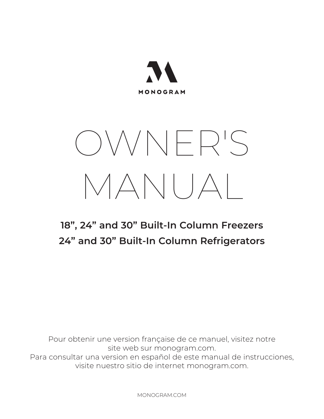

# OWNER'S MANUAL

### **18", 24" and 30" Built-In Column Freezers 24" and 30" Built-In Column Refrigerators**

Pour obtenir une version française de ce manuel, visitez notre site web sur monogram.com. Para consultar una version en español de este manual de instrucciones, visite nuestro sitio de internet monogram.com.

MONOGRAM.COM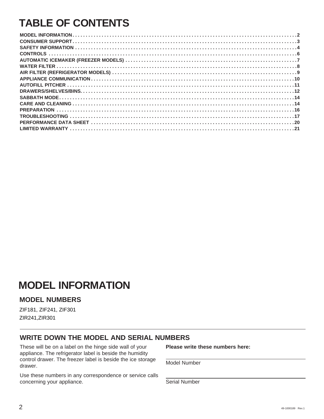### **TABLE OF CONTENTS**

### **MODEL INFORMATION**

#### **MODEL NUMBERS**

ZIF181, ZIF241, ZIF301 ZIR241,ZIR301

#### **WRITE DOWN THE MODEL AND SERIAL NUMBERS**

These will be on a label on the hinge side wall of your appliance. The refrigerator label is beside the humidity control drawer. The freezer label is beside the ice storage drawer.

Use these numbers in any correspondence or service calls concerning your appliance.

**Please write these numbers here:**

Model Number

Serial Number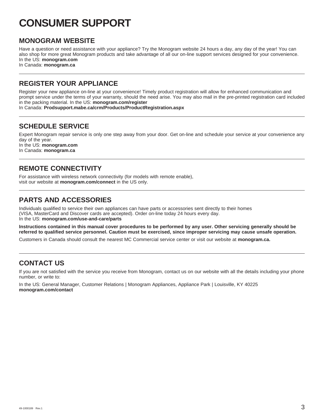### **CONSUMER SUPPORT**

#### **MONOGRAM WEBSITE**

Have a question or need assistance with your appliance? Try the Monogram website 24 hours a day, any day of the year! You can also shop for more great Monogram products and take advantage of all our on-line support services designed for your convenience. In the US: **monogram.com** 

In Canada: **monogram.ca**

### **REGISTER YOUR APPLIANCE**

Register your new appliance on-line at your convenience! Timely product registration will allow for enhanced communication and prompt service under the terms of your warranty, should the need arise. You may also mail in the pre-printed registration card included in the packing material. In the US: **monogram.com/register** 

In Canada: **Prodsupport.mabe.ca/crm/Products/ProductRegistration.aspx**

### **SCHEDULE SERVICE**

Expert Monogram repair service is only one step away from your door. Get on-line and schedule your service at your convenience any day of the year. In the US: **monogram.com**  In Canada: **monogram.ca**

### **REMOTE CONNECTIVITY**

For assistance with wireless network connectivity (for models with remote enable), visit our website at **monogram.com/connect** in the US only.

### **PARTS AND ACCESSORIES**

Individuals qualified to service their own appliances can have parts or accessories sent directly to their homes (VISA, MasterCard and Discover cards are accepted). Order on-line today 24 hours every day. In the US: **monogram.com/use-and-care/parts**

**Instructions contained in this manual cover procedures to be performed by any user. Other servicing generally should be referred to qualified service personnel. Caution must be exercised, since improper servicing may cause unsafe operation.**

Customers in Canada should consult the nearest MC Commercial service center or visit our website at **monogram.ca.**

### **CONTACT US**

If you are not satisfied with the service you receive from Monogram, contact us on our website with all the details including your phone number, or write to:

In the US: General Manager, Customer Relations | Monogram Appliances, Appliance Park | Louisville, KY 40225 **monogram.com/contact**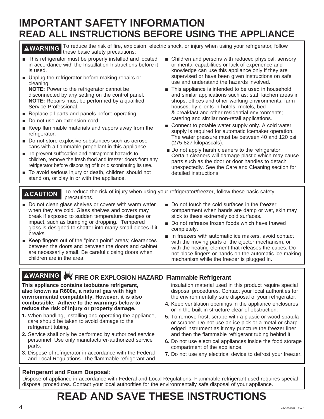### **IMPORTANT SAFETY INFORMATION READ ALL INSTRUCTIONS BEFORE USING THE APPLIANCE**

**AWARNING** To reduce the risk of fire, explosion, electric shock, or injury when using your refrigerator, follow these basic safety precautions:

- This refrigerator must be properly installed and located in accordance with the Installation Instructions before it is used.
- **Detect 8** Unplug the refrigerator before making repairs or cleaning.

**NOTE:** Power to the refrigerator cannot be disconnected by any setting on the control panel. **NOTE:** Repairs must be performed by a qualified Service Professional.

- Replace all parts and panels before operating.
- Do not use an extension cord.
- Keep flammable materials and vapors away from the refrigerator.
- Do not store explosive substances such as aerosol cans with a flammable propellant in this appliance.
- To prevent suffocation and entrapment hazards to children, remove the fresh food and freezer doors from any refrigerator before disposing of it or discontinuing its use.
- To avoid serious injury or death, children should not stand on, or play in or with the appliance.
- $\blacksquare$  Children and persons with reduced physical, sensory or mental capabilities or lack of experience and knowledge can use this appliance only if they are supervised or have been given instructions on safe use and understand the hazards involved.
- This appliance is intended to be used in household and similar applications such as: staff kitchen areas in shops, offices and other working environments; farm houses; by clients in hotels, motels, bed & breakfast and other residential environments; catering and similar non-retail applications.
- $\blacksquare$  Connect to potable water supply only. A cold water supply is required for automatic icemaker operation. The water pressure must be between 40 and 120 psi (275-827 kilopascals).
- Do not apply harsh cleaners to the refrigerator. Certain cleaners will damage plastic which may cause parts such as the door or door handles to detach unexpectedly. See the Care and Cleaning section for detailed instructions.

**ACAUTION** To reduce the risk of injury when using your refrigerator/freezer, follow these basic safety precautions.

- Do not clean glass shelves or covers with warm water when they are cold. Glass shelves and covers may break if exposed to sudden temperature changes or impact, such as bumping or dropping. Tempered glass is designed to shatter into many small pieces if it breaks.
- Keep fingers out of the "pinch point" areas; clearances between the doors and between the doors and cabinet are necessarily small. Be careful closing doors when children are in the area.
- Do not touch the cold surfaces in the freezer compartment when hands are damp or wet, skin may stick to these extremely cold surfaces.
- Do not refreeze frozen foods which have thawed completely.
- $\blacksquare$  In freezers with automatic ice makers, avoid contact with the moving parts of the ejector mechanism, or with the heating element that releases the cubes. Do not place fingers or hands on the automatic ice making mechanism while the freezer is plugged in.

**WARNING FIRE OR EXPLOSION HAZARD Flammable Refrigerant**

**This appliance contains isobutane refrigerant, also known as R600a, a natural gas with high environmental compatibility. However, it is also combustible. Adhere to the warnings below to reduce the risk of injury or property damage.**

- **1.** When handling, installing and operating the appliance, care should be taken to avoid damage to the refrigerant tubing.
- **2.** Service shall only be performed by authorized service personnel. Use only manufacturer-authorized service parts.
- **3.** Dispose of refrigerator in accordance with the Federal and Local Regulations. The flammable refrigerant and

insulation material used in this product require special disposal procedures. Contact your local authorities for the environmentally safe disposal of your refrigerator.

- **4.** Keep ventilation openings in the appliance enclosures or in the built-in structure clear of obstruction.
- **5.** To remove frost, scrape with a plastic or wood spatula or scraper. Do not use an ice pick or a metal or sharpedged instrument as it may puncture the freezer liner and then the flammable refrigerant tubing behind it.
- **6.** Do not use electrical appliances inside the food storage compartment of the appliance.
- **7.** Do not use any electrical device to defrost your freezer.

#### **Refrigerant and Foam Disposal**:

Dispose of appliance in accordance with Federal and Local Regulations. Flammable refrigerant used requires special disposal procedures. Contact your local authorities for the environmentally safe disposal of your appliance.

# **READ AND SAVE THESE INSTRUCTIONS**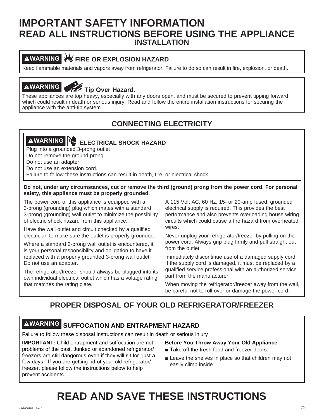### **INSTALLATION IMPORTANT SAFETY INFORMATION READ ALL INSTRUCTIONS BEFORE USING THE APPLIANCE**

### **AWARNING W FIRE OR EXPLOSION HAZARD**

Keep flammable materials and vapors away from refrigerator. Failure to do so can result in fire, explosion, or death.

# **AWARNING**<br>
Tip Over Hazard.

These appliances are top heavy, especially with any doors open, and must be secured to prevent tipping forward which could result in death or serious injury. Read and follow the entire installation instructions for securing the appliance with the anti-tip system.

### **CONNECTING ELECTRICITY**

### **AWARNING ELECTRICAL SHOCK HAZARD**

Plug into a grounded 3-prong outlet

Do not remove the ground prong

Do not use an adapter

Do not use an extension cord.

Failure to follow these instructions can result in death, fire, or electrical shock.

#### **Do not, under any circumstances, cut or remove the third (ground) prong from the power cord. For personal safety, this appliance must be properly grounded.**

The power cord of this appliance is equipped with a 3-prong (grounding) plug which mates with a standard 3-prong (grounding) wall outlet to minimize the possibility of electric shock hazard from this appliance.

Have the wall outlet and circuit checked by a qualified electrician to make sure the outlet is properly grounded.

Where a standard 2-prong wall outlet is encountered, it is your personal responsibility and obligation to have it replaced with a properly grounded 3-prong wall outlet. Do not use an adapter.

The refrigerator/freezer should always be plugged into its own individual electrical outlet which has a voltage rating that matches the rating plate.

A 115 Volt AC, 60 Hz, 15- or 20-amp fused, grounded electrical supply is required. This provides the best performance and also prevents overloading house wiring circuits which could cause a fire hazard from overheated wires.

Never unplug your refrigerator/freezer by pulling on the power cord. Always grip plug firmly and pull straight out from the outlet.

Immediately discontinue use of a damaged supply cord. If the supply cord is damaged, it must be replaced by a qualified service professional with an authorized service part from the manufacturer.

When moving the refrigerator/freezer away from the wall, be careful not to roll over or damage the power cord.

### **PROPER DISPOSAL OF YOUR OLD REFRIGERATOR/FREEZER**

### **WARNING SUFFOCATION AND ENTRAPMENT HAZARD**

Failure to follow these disposal instructions can result in death or serious injury

**IMPORTANT:** Child entrapment and suffocation are not problems of the past. Junked or abandoned refrigerator/ freezers are still dangerous even if they will sit for "just a few days." If you are getting rid of your old refrigerator/ freezer, please follow the instructions below to help prevent accidents.

#### **Before You Throw Away Your Old Appliance**

- Take off the fresh food and freezer doors.
- **Example 2** Leave the shelves in place so that children may not easily climb inside.

### **READ AND SAVE THESE INSTRUCTIONS**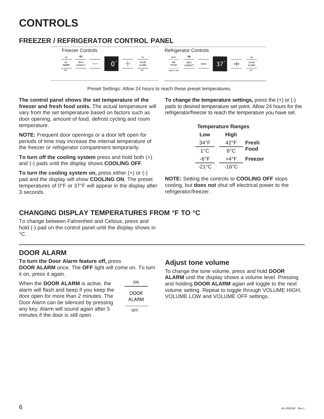### **CONTROLS**

### **FREEZER / REFRIGERATOR CONTROL PANEL**



Preset Settings: Allow 24 hours to reach these preset temperatures.

**The control panel shows the set temperature of the freezer and fresh food units.** The actual temperature will vary from the set temperature based on factors such as door opening, amount of food, defrost cycling and room temperature.

**NOTE:** Frequent door openings or a door left open for periods of time may increase the internal temperature of the freezer or refrigerator compartment temporarily.

**To turn off the cooling system** press and hold both (+) and (-) pads until the display shows **COOLING OFF**.

**To turn the cooling system on,** press either (+) or (-) pad and the display will show **COOLING ON**. The preset temperatures of 0°F or 37°F will appear in the display after 3 seconds.

**To change the temperature settings,** press the (+) or (-) pads to desired temperature set point. Allow 24 hours for the refrigerator/freezer to reach the temperature you have set.

| <b>Temperature Ranges</b> |             |                |
|---------------------------|-------------|----------------|
| Low                       | <b>High</b> |                |
| $34^{\circ}$ F            | 42°F        | Fresh          |
| 1°C                       | ഭ°C         | Food           |
| -6°F                      | +4°F        | <b>Freezer</b> |
| -21°C                     | -16°C       |                |

**NOTE:** Setting the controls to **COOLING OFF** stops cooling, but **does not** shut off electrical power to the refrigerator/freezer.

### **CHANGING DISPLAY TEMPERATURES FROM °F TO °C**

To change between Fahrenheit and Celsius, press and hold (-) pad on the control panel until the display shows in °C.

### **DOOR ALARM**

**To turn the Door Alarm feature off,** press

**DOOR ALARM** once. The **OFF** light will come on. To turn it on, press it again.

When the **DOOR ALARM** is active, the alarm will flash and beep if you keep the door open for more than 2 minutes. The Door Alarm can be silenced by pressing any key. Alarm will sound again after 5 minutes if the door is still open.

| ΟN             |
|----------------|
| DOOR<br>AI ARM |
| ∩FF            |

#### **Adjust tone volume**

To change the tone volume, press and hold **DOOR ALARM** until the display shows a volume level. Pressing and holding **DOOR ALARM** again will toggle to the next volume setting. Repeat to toggle through VOLUME HIGH, VOLUME LOW and VOLUME OFF settings.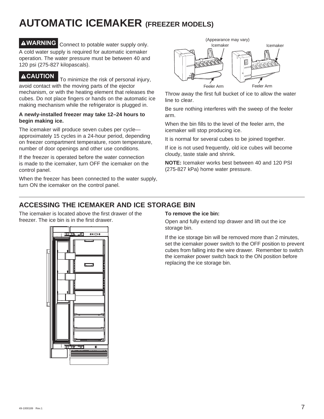### **AUTOMATIC ICEMAKER (FREEZER MODELS)**

**WARNING** Connect to potable water supply only. A cold water supply is required for automatic icemaker operation. The water pressure must be between 40 and 120 psi (275-827 kilopascals).

#### **ACAUTION** To minimize the risk of personal injury, avoid contact with the moving parts of the ejector mechanism, or with the heating element that releases the cubes. Do not place fingers or hands on the automatic ice making mechanism while the refrigerator is plugged in.

#### **A newly-installed freezer may take 12–24 hours to begin making ice.**

The icemaker will produce seven cubes per cycle approximately 15 cycles in a 24-hour period, depending on freezer compartment temperature, room temperature, number of door openings and other use conditions.

If the freezer is operated before the water connection is made to the icemaker, turn OFF the icemaker on the control panel.

When the freezer has been connected to the water supply, turn ON the icemaker on the control panel.



Throw away the first full bucket of ice to allow the water line to clear.

Be sure nothing interferes with the sweep of the feeler arm.

When the bin fills to the level of the feeler arm, the icemaker will stop producing ice.

It is normal for several cubes to be joined together.

If ice is not used frequently, old ice cubes will become cloudy, taste stale and shrink.

**NOTE:** Icemaker works best between 40 and 120 PSI (275-827 kPa) home water pressure.

### **ACCESSING THE ICEMAKER AND ICE STORAGE BIN**

The icemaker is located above the first drawer of the freezer. The ice bin is in the first drawer.

#### **To remove the ice bin:**

Open and fully extend top drawer and lift out the ice storage bin.

If the ice storage bin will be removed more than 2 minutes, set the icemaker power switch to the OFF position to prevent cubes from falling into the wire drawer. Remember to switch the icemaker power switch back to the ON position before replacing the ice storage bin.

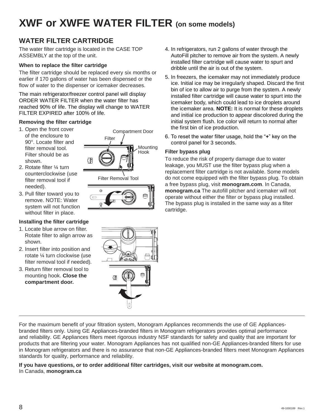### **XWF or XWFE WATER FILTER (on some models)**

### **WATER FILTER CARTRIDGE**

The water filter cartridge is located in the CASE TOP ASSEMBLY at the top of the unit.

#### **When to replace the filter cartridge**

The filter cartridge should be replaced every six months or earlier if 170 gallons of water has been dispensed or the flow of water to the dispenser or icemaker decreases.

The main refrigerator/freezer control panel will display ORDER WATER FILTER when the water filter has reached 90% of life. The display will change to WATER FILTER EXPIRED after 100% of life.

#### **Removing the filter cartridge**

- 1. Open the front cover of the enclosure to 90°. Locate filter and filter removal tool. Filter should be as shown.
- 2. Rotate filter ¼ turn counterclockwise (use filter removal tool if needed).
- 3. Pull filter toward you to remove. NOTE: Water system will not function without filter in place.

#### **Installing the filter cartridge**

- 1. Locate blue arrow on filter. Rotate filter to align arrow as shown.
- 2. Insert filter into position and rotate ¼ turn clockwise (use filter removal tool if needed).
- 3. Return filter removal tool to mounting hook. **Close the compartment door.**





- 4. In refrigerators, run 2 gallons of water through the AutoFill pitcher to remove air from the system. A newly installed filter cartridge will cause water to spurt and dribble until the air is out of the system.
- 5. In freezers, the icemaker may not immediately produce ice. Initial ice may be irregularly shaped. Discard the first bin of ice to allow air to purge from the system. A newly installed filter cartridge will cause water to spurt into the icemaker body, which could lead to ice droplets around the icemaker area. **NOTE:** It is normal for these droplets and initial ice production to appear discolored during the initial system flush. Ice color will return to normal after the first bin of ice production.
- 6. To reset the water filter usage, hold the "+" key on the control panel for 3 seconds.

#### **Filter bypass plug**

To reduce the risk of property damage due to water leakage, you MUST use the filter bypass plug when a replacement filter cartridge is not available. Some models do not come equipped with the filter bypass plug. To obtain a free bypass plug, visit **monogram.com**. In Canada, **monogram.ca** The autofill pitcher and icemaker will not operate without either the filter or bypass plug installed. The bypass plug is installed in the same way as a filter cartridge.



For the maximum benefit of your filtration system, Monogram Appliances recommends the use of GE Appliancesbranded filters only. Using GE Appliances-branded filters in Monogram refrigerators provides optimal performance and reliability. GE Appliances filters meet rigorous industry NSF standards for safety and quality that are important for products that are filtering your water. Monogram Appliances has not qualified non-GE Appliances-branded filters for use in Monogram refrigerators and there is no assurance that non-GE Appliances-branded filters meet Monogram Appliances standards for quality, performance and reliability.

#### **If you have questions, or to order additional filter cartridges, visit our website at monogram.com.**  In Canada, **monogram.ca**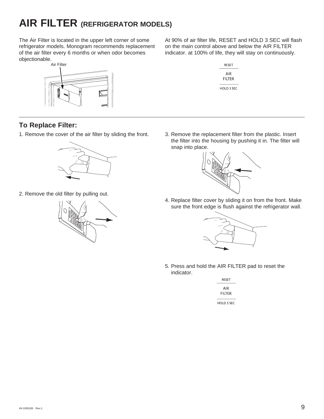### **AIR FILTER (REFRIGERATOR MODELS)**

The Air Filter is located in the upper left corner of some refrigerator models. Monogram recommends replacement of the air filter every 6 months or when odor becomes objectionable.



At 90% of air filter life, RESET and HOLD 3 SEC will flash on the main control above and below the AIR FILTER indicator. at 100% of life, they will stay on continuously.



### **To Replace Filter:**

1. Remove the cover of the air filter by sliding the front.



2. Remove the old filter by pulling out.



3. Remove the replacement filter from the plastic. Insert the filter into the housing by pushing it in. The filter will snap into place.



4. Replace filter cover by sliding it on from the front. Make sure the front edge is flush against the refrigerator wall.



5. Press and hold the AIR FILTER pad to reset the indicator.

| RESET         |
|---------------|
| AIR<br>FIITFR |
| HOLD 3 SEC    |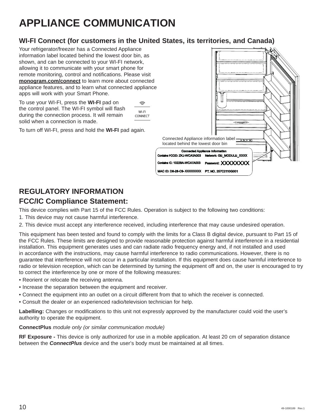### **APPLIANCE COMMUNICATION**

### **WI-FI Connect (for customers in the United States, its territories, and Canada)**

Your refrigerator/freezer has a Connected Appliance information label located behind the lowest door bin, as shown, and can be connected to your WI-FI network, allowing it to communicate with your smart phone for remote monitoring, control and notifications. Please visit **monogram.com/connect** to learn more about connected appliance features, and to learn what connected appliance apps will work with your Smart Phone.

To use your WI-FI, press the **WI-FI** pad on the control panel. The WI-FI symbol will flash during the connection process. It will remain solid when a connection is made.

ふ WI-FI CONNECT

To turn off WI-FI, press and hold the **WI-FI** pad again.



### **REGULATORY INFORMATION FCC/IC Compliance Statement:**

This device complies with Part 15 of the FCC Rules. Operation is subject to the following two conditions:

- 1. This device may not cause harmful interference.
- 2. This device must accept any interference received, including interference that may cause undesired operation.

This equipment has been tested and found to comply with the limits for a Class B digital device, pursuant to Part 15 of the FCC Rules. These limits are designed to provide reasonable protection against harmful interference in a residential installation. This equipment generates uses and can radiate radio frequency energy and, if not installed and used in accordance with the instructions, may cause harmful interference to radio communications. However, there is no guarantee that interference will not occur in a particular installation. If this equipment does cause harmful interference to radio or television reception, which can be determined by turning the equipment off and on, the user is encouraged to try to correct the interference by one or more of the following measures:

- Reorient or relocate the receiving antenna.
- Increase the separation between the equipment and receiver.
- Connect the equipment into an outlet on a circuit different from that to which the receiver is connected.
- Consult the dealer or an experienced radio/television technician for help.

**Labelling:** Changes or modifications to this unit not expressly approved by the manufacturer could void the user's authority to operate the equipment.

#### **ConnectPlus** *module only (or similar communication module)*

**RF Exposure -** This device is only authorized for use in a mobile application. At least 20 cm of separation distance between the *ConnectPlus* device and the user's body must be maintained at all times.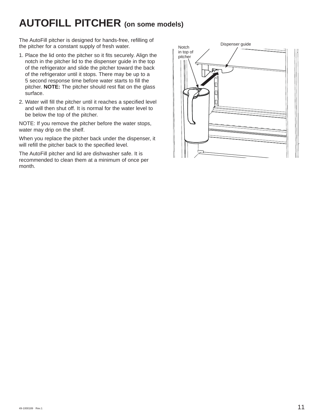### **AUTOFILL PITCHER (on some models)**

The AutoFill pitcher is designed for hands-free, refilling of<br>the pitcher for a constant supply of fresh water the pitcher for a constant supply of fresh water.

- 1. Place the lid onto the pitcher so it fits securely. Align the notch in the pitcher lid to the dispenser guide in the top of the refrigerator and slide the pitcher toward the back of the refrigerator until it stops. There may be up to a 5 second response time before water starts to fill the pitcher. **NOTE:** The pitcher should rest flat on the glass surface.
- 2. Water will fill the pitcher until it reaches a specified level and will then shut off. It is normal for the water level to be below the top of the pitcher.

NOTE: If you remove the pitcher before the water stops, water may drip on the shelf.

When you replace the pitcher back under the dispenser, it will refill the pitcher back to the specified level.

The AutoFill pitcher and lid are dishwasher safe. It is recommended to clean them at a minimum of once per month.

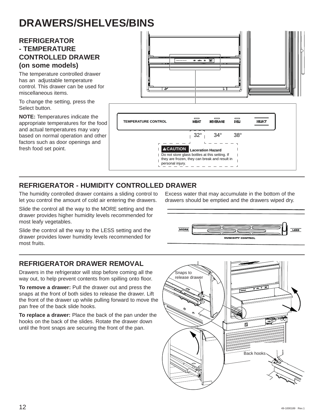### **DRAWERS/SHELVES/BINS**

### **REFRIGERATOR - TEMPERATURE CONTROLLED DRAWER (on some models)**

The temperature controlled drawer has an adjustable temperature control. This drawer can be used for miscellaneous items.

To change the setting, press the Select button.

**NOTE:** Temperatures indicate the appropriate temperatures for the food and actual temperatures may vary based on normal operation and other factors such as door openings and fresh food set point.



### **REFRIGERATOR - HUMIDITY CONTROLLED DRAWER**

The humidity controlled drawer contains a sliding control to let you control the amount of cold air entering the drawers.

Slide the control all the way to the MORE setting and the drawer provides higher humidity levels recommended for most leafy vegetables.

Slide the control all the way to the LESS setting and the drawer provides lower humidity levels recommended for most fruits.

### **REFRIGERATOR DRAWER REMOVAL**

Drawers in the refrigerator will stop before coming all the way out, to help prevent contents from spilling onto floor.

**To remove a drawer:** Pull the drawer out and press the snaps at the front of both sides to release the drawer. Lift the front of the drawer up while pulling forward to move the pan free of the back slide hooks.

**To replace a drawer:** Place the back of the pan under the hooks on the back of the slides. Rotate the drawer down until the front snaps are securing the front of the pan.

Excess water that may accumulate in the bottom of the drawers should be emptied and the drawers wiped dry.



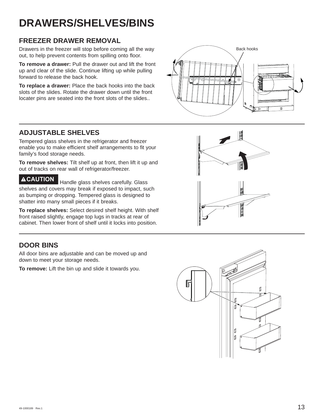## **DRAWERS/SHELVES/BINS**

### **FREEZER DRAWER REMOVAL**

Drawers in the freezer will stop before coming all the way out, to help prevent contents from spilling onto floor.

**To remove a drawer:** Pull the drawer out and lift the front up and clear of the slide. Continue lifting up while pulling forward to release the back hook.

**To replace a drawer:** Place the back hooks into the back slots of the slides. Rotate the drawer down until the front locater pins are seated into the front slots of the slides..



### **ADJUSTABLE SHELVES**

Tempered glass shelves in the refrigerator and freezer enable you to make efficient shelf arrangements to fit your family's food storage needs.

**To remove shelves:** Tilt shelf up at front, then lift it up and out of tracks on rear wall of refrigerator/freezer.

**CAUTION** Handle glass shelves carefully. Glass shelves and covers may break if exposed to impact, such as bumping or dropping. Tempered glass is designed to shatter into many small pieces if it breaks.

**To replace shelves:** Select desired shelf height. With shelf front raised slightly, engage top lugs in tracks at rear of cabinet. Then lower front of shelf until it locks into position.

### **DOOR BINS**

All door bins are adjustable and can be moved up and down to meet your storage needs.

**To remove:** Lift the bin up and slide it towards you.



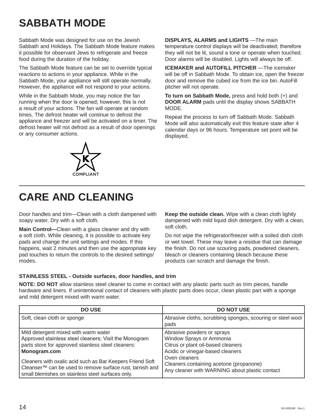# **SABBATH MODE**

Sabbath Mode was designed for use on the Jewish Sabbath and Holidays. The Sabbath Mode feature makes it possible for observant Jews to refrigerate and freeze food during the duration of the holiday.

The Sabbath Mode feature can be set to override typical reactions to actions in your appliance. While in the Sabbath Mode, your appliance will still operate normally. However, the appliance will not respond to your actions.

While in the Sabbath Mode, you may notice the fan running when the door is opened; however, this is not a result of your actions. The fan will operate at random times. The defrost heater will continue to defrost the appliance and freezer and will be activated on a timer. The defrost heater will not defrost as a result of door openings or any consumer actions.



**DISPLAYS, ALARMS and LIGHTS** —The main temperature control displays will be deactivated; therefore they will not be lit, sound a tone or operate when touched. Door alarms will be disabled. Lights will always be off.

**ICEMAKER and AUTOFILL PITCHER** —The icemaker will be off in Sabbath Mode. To obtain ice, open the freezer door and remove the cubed ice from the ice bin. AutoFill pitcher will not operate.

**To turn on Sabbath Mode,** press and hold both (+) and **DOOR ALARM** pads until the display shows SABBATH MODE.

Repeat the process to turn off Sabbath Mode. Sabbath Mode will also automatically exit this feature state after 4 calendar days or 96 hours. Temperature set point will be displayed.

### **CARE AND CLEANING**

Door handles and trim—Clean with a cloth dampened with soapy water. Dry with a soft cloth.

**Main Control—**Clean with a glass cleaner and dry with a soft cloth. While cleaning, it is possible to activate key pads and change the unit settings and modes. If this happens, wait 2 minutes and then use the appropriate key pad touches to return the controls to the desired settings/ modes.

**Keep the outside clean.** Wipe with a clean cloth lightly dampened with mild liquid dish detergent. Dry with a clean, soft cloth.

Do not wipe the refrigerator/freezer with a soiled dish cloth or wet towel. These may leave a residue that can damage the finish. Do not use scouring pads, powdered cleaners, bleach or cleaners containing bleach because these products can scratch and damage the finish.

#### **STAINLESS STEEL - Outside surfaces, door handles, and trim**

**NOTE: DO NOT** allow stainless steel cleaner to come in contact with any plastic parts such as trim pieces, handle hardware and liners. If unintentional contact of cleaners with plastic parts does occur, clean plastic part with a sponge and mild detergent mixed with warm water.

| <b>DO USE</b>                                                                                                                                                                                                                                                                                                                                                  | <b>DO NOT USE</b>                                                                                                                                                                                                                              |
|----------------------------------------------------------------------------------------------------------------------------------------------------------------------------------------------------------------------------------------------------------------------------------------------------------------------------------------------------------------|------------------------------------------------------------------------------------------------------------------------------------------------------------------------------------------------------------------------------------------------|
| Soft, clean cloth or sponge                                                                                                                                                                                                                                                                                                                                    | Abrasive cloths, scrubbing sponges, scouring or steel wool<br>pads                                                                                                                                                                             |
| Mild detergent mixed with warm water<br>Approved stainless steel cleaners; Visit the Monogram<br>parts store for approved stainless steel cleaners:<br>Monogram.com<br>Cleaners with oxalic acid such as Bar Keepers Friend Soft<br>Cleanser <sup>™</sup> can be used to remove surface rust, tarnish and<br>small blemishes on stainless steel surfaces only. | Abrasive powders or sprays<br>Window Sprays or Ammonia<br>Citrus or plant oil-based cleaners<br>Acidic or vinegar-based cleaners<br>Oven cleaners<br>Cleaners containing acetone (propanone)<br>Any cleaner with WARNING about plastic contact |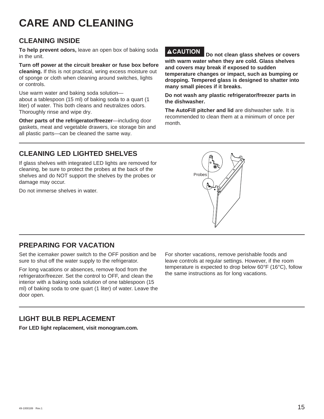### **CARE AND CLEANING**

### **CLEANING INSIDE**

**To help prevent odors,** leave an open box of baking soda in the unit.

**Turn off power at the circuit breaker or fuse box before cleaning.** If this is not practical, wring excess moisture out of sponge or cloth when cleaning around switches, lights or controls.

Use warm water and baking soda solution about a tablespoon (15 ml) of baking soda to a quart (1 liter) of water. This both cleans and neutralizes odors. Thoroughly rinse and wipe dry.

**Other parts of the refrigerator/freezer**—including door gaskets, meat and vegetable drawers, ice storage bin and all plastic parts—can be cleaned the same way.

**CAUTION Do not clean glass shelves or covers with warm water when they are cold. Glass shelves and covers may break if exposed to sudden temperature changes or impact, such as bumping or dropping. Tempered glass is designed to shatter into many small pieces if it breaks.**

**Do not wash any plastic refrigerator/freezer parts in the dishwasher.**

**The AutoFill pitcher and lid** are dishwasher safe. It is recommended to clean them at a minimum of once per month.

### **CLEANING LED LIGHTED SHELVES**

If glass shelves with integrated LED lights are removed for cleaning, be sure to protect the probes at the back of the shelves and do NOT support the shelves by the probes or damage may occur.

Do not immerse shelves in water.



### **PREPARING FOR VACATION**

Set the icemaker power switch to the OFF position and be sure to shut off the water supply to the refrigerator.

For long vacations or absences, remove food from the refrigerator/freezer. Set the control to OFF, and clean the interior with a baking soda solution of one tablespoon (15 ml) of baking soda to one quart (1 liter) of water. Leave the door open.

For shorter vacations, remove perishable foods and leave controls at regular settings. However, if the room temperature is expected to drop below 60°F (16°C), follow the same instructions as for long vacations.

### **LIGHT BULB REPLACEMENT**

**For LED light replacement, visit monogram.com.**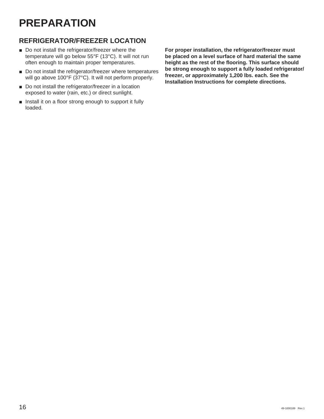### **PREPARATION**

### **REFRIGERATOR/FREEZER LOCATION**

- $\blacksquare$  Do not install the refrigerator/freezer where the temperature will go below 55°F (13°C). It will not run often enough to maintain proper temperatures.
- Do not install the refrigerator/freezer where temperatures will go above 100°F (37°C). It will not perform properly.
- Do not install the refrigerator/freezer in a location exposed to water (rain, etc.) or direct sunlight.
- **n** Install it on a floor strong enough to support it fully loaded.

**For proper installation, the refrigerator/freezer must be placed on a level surface of hard material the same height as the rest of the flooring. This surface should be strong enough to support a fully loaded refrigerator/ freezer, or approximately 1,200 lbs. each. See the Installation Instructions for complete directions.**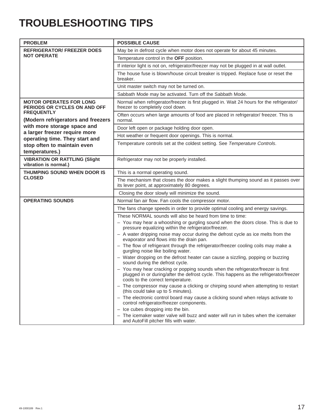### **TROUBLESHOOTING TIPS**

| <b>PROBLEM</b>                                                                      | <b>POSSIBLE CAUSE</b>                                                                                                                                                                                           |
|-------------------------------------------------------------------------------------|-----------------------------------------------------------------------------------------------------------------------------------------------------------------------------------------------------------------|
| <b>REFRIGERATOR/ FREEZER DOES</b>                                                   | May be in defrost cycle when motor does not operate for about 45 minutes.                                                                                                                                       |
| <b>NOT OPERATE</b>                                                                  | Temperature control in the OFF position.                                                                                                                                                                        |
|                                                                                     | If interior light is not on, refrigerator/freezer may not be plugged in at wall outlet.                                                                                                                         |
|                                                                                     | The house fuse is blown/house circuit breaker is tripped. Replace fuse or reset the<br>breaker.                                                                                                                 |
|                                                                                     | Unit master switch may not be turned on.                                                                                                                                                                        |
|                                                                                     | Sabbath Mode may be activated. Turn off the Sabbath Mode.                                                                                                                                                       |
| <b>MOTOR OPERATES FOR LONG</b><br>PERIODS OR CYCLES ON AND OFF<br><b>FREQUENTLY</b> | Normal when refrigerator/freezer is first plugged in. Wait 24 hours for the refrigerator/<br>freezer to completely cool down.                                                                                   |
| (Modern refrigerators and freezers                                                  | Often occurs when large amounts of food are placed in refrigerator/ freezer. This is<br>normal.                                                                                                                 |
| with more storage space and                                                         | Door left open or package holding door open.                                                                                                                                                                    |
| a larger freezer require more<br>operating time. They start and                     | Hot weather or frequent door openings. This is normal.                                                                                                                                                          |
| stop often to maintain even<br>temperatures.)                                       | Temperature controls set at the coldest setting. See Temperature Controls.                                                                                                                                      |
| <b>VIBRATION OR RATTLING (Slight</b><br>vibration is normal.)                       | Refrigerator may not be properly installed.                                                                                                                                                                     |
| THUMPING SOUND WHEN DOOR IS                                                         | This is a normal operating sound.                                                                                                                                                                               |
| <b>CLOSED</b>                                                                       | The mechanism that closes the door makes a slight thumping sound as it passes over<br>its lever point, at approximately 80 degrees.                                                                             |
|                                                                                     | Closing the door slowly will minimize the sound.                                                                                                                                                                |
| <b>OPERATING SOUNDS</b>                                                             | Normal fan air flow. Fan cools the compressor motor.                                                                                                                                                            |
|                                                                                     | The fans change speeds in order to provide optimal cooling and energy savings.                                                                                                                                  |
|                                                                                     | These NORMAL sounds will also be heard from time to time:                                                                                                                                                       |
|                                                                                     | - You may hear a whooshing or gurgling sound when the doors close. This is due to<br>pressure equalizing within the refrigerator/freezer.                                                                       |
|                                                                                     | - A water dripping noise may occur during the defrost cycle as ice melts from the<br>evaporator and flows into the drain pan.                                                                                   |
|                                                                                     | - The flow of refrigerant through the refrigerator/freezer cooling coils may make a<br>gurgling noise like boiling water.                                                                                       |
|                                                                                     | - Water dropping on the defrost heater can cause a sizzling, popping or buzzing<br>sound during the defrost cycle.                                                                                              |
|                                                                                     | - You may hear cracking or popping sounds when the refrigerator/freezer is first<br>plugged in or during/after the defrost cycle. This happens as the refrigerator/freezer<br>cools to the correct temperature. |
|                                                                                     | - The compressor may cause a clicking or chirping sound when attempting to restart<br>(this could take up to 5 minutes).                                                                                        |
|                                                                                     | - The electronic control board may cause a clicking sound when relays activate to<br>control refrigerator/freezer components.                                                                                   |
|                                                                                     | - Ice cubes dropping into the bin.                                                                                                                                                                              |
|                                                                                     | - The icemaker water valve will buzz and water will run in tubes when the icemaker<br>and AutoFill pitcher fills with water.                                                                                    |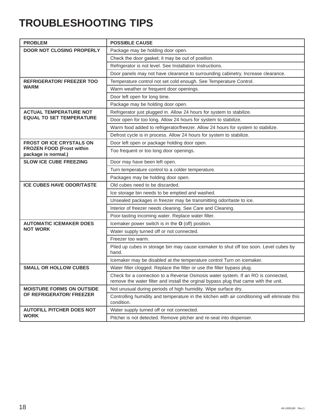### **TROUBLESHOOTING TIPS**

| <b>PROBLEM</b>                                          | <b>POSSIBLE CAUSE</b>                                                                                                                                                    |
|---------------------------------------------------------|--------------------------------------------------------------------------------------------------------------------------------------------------------------------------|
| <b>DOOR NOT CLOSING PROPERLY</b>                        | Package may be holding door open.                                                                                                                                        |
|                                                         | Check the door gasket; it may be out of position.                                                                                                                        |
|                                                         | Refrigerator is not level. See Installation Instructions.                                                                                                                |
|                                                         | Door panels may not have clearance to surrounding cabinetry. Increase clearance.                                                                                         |
| <b>REFRIGERATOR/ FREEZER TOO</b>                        | Temperature control not set cold enough. See Temperature Control.                                                                                                        |
| <b>WARM</b>                                             | Warm weather or frequent door openings.                                                                                                                                  |
|                                                         | Door left open for long time.                                                                                                                                            |
|                                                         | Package may be holding door open.                                                                                                                                        |
| <b>ACTUAL TEMPERATURE NOT</b>                           | Refrigerator just plugged in. Allow 24 hours for system to stabilize.                                                                                                    |
| <b>EQUAL TO SET TEMPERATURE</b>                         | Door open for too long. Allow 24 hours for system to stabilize.                                                                                                          |
|                                                         | Warm food added to refrigerator/freezer. Allow 24 hours for system to stabilize.                                                                                         |
|                                                         | Defrost cycle is in process. Allow 24 hours for system to stabilize.                                                                                                     |
| <b>FROST OR ICE CRYSTALS ON</b>                         | Door left open or package holding door open.                                                                                                                             |
| <b>FROZEN FOOD (Frost within</b><br>package is normal.) | Too frequent or too long door openings.                                                                                                                                  |
| <b>SLOW ICE CUBE FREEZING</b>                           | Door may have been left open.                                                                                                                                            |
|                                                         | Turn temperature control to a colder temperature.                                                                                                                        |
|                                                         | Packages may be holding door open.                                                                                                                                       |
| <b>ICE CUBES HAVE ODOR/TASTE</b>                        | Old cubes need to be discarded.                                                                                                                                          |
|                                                         | Ice storage bin needs to be emptied and washed.                                                                                                                          |
|                                                         | Unsealed packages in freezer may be transmitting odor/taste to ice.                                                                                                      |
|                                                         | Interior of freezer needs cleaning. See Care and Cleaning.                                                                                                               |
|                                                         | Poor-tasting incoming water. Replace water filter.                                                                                                                       |
| <b>AUTOMATIC ICEMAKER DOES</b>                          | Icemaker power switch is in the O (off) position.                                                                                                                        |
| <b>NOT WORK</b>                                         | Water supply turned off or not connected.                                                                                                                                |
|                                                         | Freezer too warm.                                                                                                                                                        |
|                                                         | Piled up cubes in storage bin may cause icemaker to shut off too soon. Level cubes by<br>hand.                                                                           |
|                                                         | Icemaker may be disabled at the temperature control Turn on icemaker.                                                                                                    |
| <b>SMALL OR HOLLOW CUBES</b>                            | Water filter clogged. Replace the filter or use the filter bypass plug.                                                                                                  |
|                                                         | Check for a connection to a Reverse Osmosis water system. If an RO is connected,<br>remove the water filter and install the orginal bypass plug that came with the unit. |
| <b>MOISTURE FORMS ON OUTSIDE</b>                        | Not unusual during periods of high humidity. Wipe surface dry.                                                                                                           |
| OF REFRIGERATOR/ FREEZER                                | Controlling humidity and temperature in the kitchen with air conditioning will eliminate this<br>condition.                                                              |
| <b>AUTOFILL PITCHER DOES NOT</b>                        | Water supply turned off or not connected.                                                                                                                                |
| <b>WORK</b>                                             | Pitcher is not detected. Remove pitcher and re-seat into dispenser.                                                                                                      |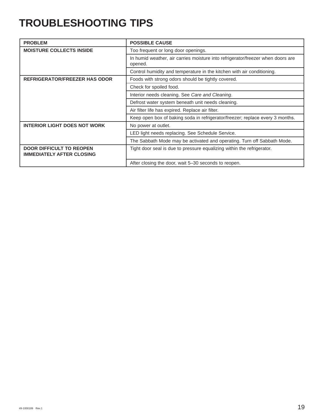### **TROUBLESHOOTING TIPS**

| <b>PROBLEM</b>                                                      | <b>POSSIBLE CAUSE</b>                                                                      |
|---------------------------------------------------------------------|--------------------------------------------------------------------------------------------|
| <b>MOISTURE COLLECTS INSIDE</b>                                     | Too frequent or long door openings.                                                        |
|                                                                     | In humid weather, air carries moisture into refrigerator/freezer when doors are<br>opened. |
|                                                                     | Control humidity and temperature in the kitchen with air conditioning.                     |
| <b>REFRIGERATOR/FREEZER HAS ODOR</b>                                | Foods with strong odors should be tightly covered.                                         |
|                                                                     | Check for spoiled food.                                                                    |
|                                                                     | Interior needs cleaning. See Care and Cleaning.                                            |
|                                                                     | Defrost water system beneath unit needs cleaning.                                          |
|                                                                     | Air filter life has expired. Replace air filter.                                           |
|                                                                     | Keep open box of baking soda in refrigerator/freezer; replace every 3 months.              |
| <b>INTERIOR LIGHT DOES NOT WORK</b>                                 | No power at outlet.                                                                        |
|                                                                     | LED light needs replacing. See Schedule Service.                                           |
|                                                                     | The Sabbath Mode may be activated and operating. Turn off Sabbath Mode.                    |
| <b>DOOR DIFFICULT TO REOPEN</b><br><b>IMMEDIATELY AFTER CLOSING</b> | Tight door seal is due to pressure equalizing within the refrigerator.                     |
|                                                                     | After closing the door, wait 5-30 seconds to reopen.                                       |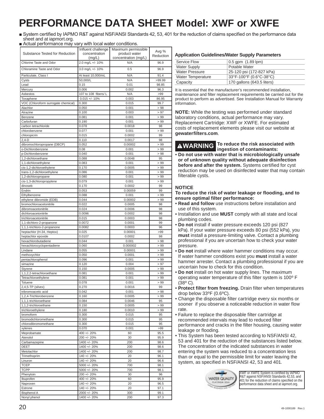### **PERFORMANCE DATA SHEET Model: XWF or XWFE**

System certified by IAPMO R&T against NSF/ANSI Standards 42, 53, 401 for the reduction of claims specified on the performance data sheet and at iapmort.org.

Actual performance may vary with local water conditions.

| Substance Tested for Reduction                    | Influent challenge<br>concentration     | Maximum permissible<br>product water | Avg %<br>Reduction |
|---------------------------------------------------|-----------------------------------------|--------------------------------------|--------------------|
|                                                   | (mg/L)                                  | concentration (mg/L)                 |                    |
| Chlorine Taste and Odor                           | 2.0 mg/L +/- 10%                        | N/A                                  | 96.9               |
| Chloramine Taste and Odor                         | 3.0 mg/L +/- 10%                        | 0.5                                  | 96.9               |
| Particulate, Class I                              | At least 10,000/mL                      | N/A                                  | 91.4               |
| Cysts                                             | 50,000/L                                | N/A                                  | >99.99             |
| Lead                                              | 0.15                                    | 0.01                                 | 98.85              |
| Mercury                                           | 0.006                                   | 0.002                                | 96.3               |
| Asbestos<br>Toxaphene                             | 107 to 108 fibers/ L<br>$0.015 +/- 10%$ | N/A<br>0.003                         | >99<br>86.95       |
| VOC (Chloroform surrogate chemical)               | 0.300                                   | 0.015                                | 99.7               |
| Alachlor                                          | 0.050                                   | 0.001                                | > 98               |
| Atrazine                                          | 0.100                                   | 0.003                                | > 97               |
| Benzene                                           | 0.081                                   | 0.001                                | >99                |
| Carbofuran                                        | 0.190                                   | 0.001                                | > 99               |
| carbon tetrachloride                              | 0.078                                   | 0.0018                               | 98                 |
| chlorobenzene                                     | 0.077                                   | 0.001                                | >99                |
| chloropicrin                                      | 0.015                                   | 0.0002                               | 99                 |
| $2,4-D$                                           | 0.110                                   | 0.0017                               | 98                 |
| dibromochloropropane (DBCP)                       | 0.052                                   | 0.00002                              | >99                |
| o-Dichlorobenzene                                 | 0.08                                    | 0.001                                | >99                |
| p-Dichlorobenzene                                 | 0.040                                   | 0.001                                | >98                |
| 1,2-dichloroethane                                | 0.088                                   | 0.0048                               | 95                 |
| 1,1-dichloroethylene                              | 0.083                                   | 0.001                                | >99<br>>99         |
| cis-1,2-dichloroethylene                          | 0.170<br>0.086                          | 0.0005                               |                    |
| trans-1,2-dichloroethylene<br>1,2-dichloropropane | 0.080                                   | 0.001<br>0.001                       | >99<br>>99         |
| cis-1,3-dichloropropylene                         | 0.079                                   | 0.001                                | >99                |
| dinoseb                                           | 0.170                                   | 0.0002                               | 99                 |
| Endrin                                            | 0.053                                   | 0.00059                              | 99                 |
| Ethylbenzene                                      | 0.088                                   | 0.001                                | >99                |
| ethylene dibromide (EDB)                          | 0.044                                   | 0.00002                              | >99                |
| bromochloroacetonitrile                           | 0.022                                   | 0.0005                               | 98                 |
| dibromoacetonitrile                               | 0.024                                   | 0.0006                               | 98                 |
| dichloroacetonitrile                              | 0.0096                                  | 0.0002                               | 98                 |
| trichloroacetonitrile                             | 0.015                                   | 0.0003                               | 98                 |
| 1,1-dichloro-2-propanone                          | 0.0072                                  | 0.0001                               | 99                 |
| 1,1,1-trichloro-2-propanone                       | 0.0082                                  | 0.0003                               | 96                 |
| heptachlor (H-34, Heptox)                         | 0.025                                   | 0.00001                              | >99                |
| heptachlor epoxide                                | 0.0107                                  | 0.0002                               | 98                 |
| hexachlorobutadiene                               | 0.044                                   | 0.001                                | >98                |
| hexachlorocyclopentadiene                         | 0.060                                   | 0.000002                             | >99                |
| Lindane                                           | 0.055                                   | 0.00001                              | >99                |
| methoxychlor                                      | 0.050                                   | 0.0001                               | >99                |
| pentachlorophenol                                 | 0.096                                   | 0.001<br>0.004                       | > 99               |
| simazine<br>Styrene                               | 0.120<br>0.150                          | 0.0005                               | > 97<br>>99        |
| 1,1,2,2-tetrachloroethane                         | 0.081                                   | 0.001                                | >99                |
| Tetrachloroethylene                               | 0.081                                   | 0.001                                | >99                |
| Toluene                                           | 0.078                                   | 0.001                                | >99                |
| $2,4,5$ -TP (silvex)                              | 0.270                                   | 0.0016                               | 99                 |
| tribromoacetic acid                               | 0.042                                   | 0.001                                | >98                |
| 1,2,4-Trichlorobenzene                            | 0.160                                   | 0.0005                               | >99                |
| 1,1,1-trichloroethane                             | 0.084                                   | 0.0046                               | 95                 |
| 1,1,2-trichloroethane                             | 0.150                                   | 0.0005                               | >99                |
| trichloroethylene                                 | 0.180                                   | 0.0010                               | >99                |
| bromoform                                         | 0.300                                   | 0.015                                | 95                 |
| bromodichloromethane                              | 0.300                                   | 0.015                                | 95                 |
| chlorodibromomethane                              | 0.300                                   | 0.015                                | 95                 |
| xylenes                                           | 0.070                                   | 0.001                                | >99                |
| Meprobamate                                       | 400 +/- 20%                             | 60                                   | 95.5               |
| Atenolol                                          | 200 +/- 20%                             | 30                                   | 95.9               |
| Carbamazepine                                     | 1400 +/- 20%                            | 200                                  | 98.6               |
| DEET                                              | 1400 +/- 20%                            | 200                                  | 98.6               |
| Metolachlor                                       | 1400 +/- 20%                            | 200                                  | 98.7               |
| Trimethoprim                                      | 140 +/- 20%                             | 20                                   | 96.1               |
| Linuron                                           | 140 +/- 20%                             | 20                                   | 96.6               |
| <b>TCEP</b><br><b>TCPP</b>                        | 5000 +/- 20%<br>$5000 +/- 20%$          | 700<br>700                           | 98.1<br>98.1       |
| Phenytoin                                         | 200 +/- 20%                             | 30                                   | 96                 |
| Ibuprofen                                         | 400 +/- 20%                             | 60                                   | 95.9               |
| Naproxen                                          | 140 +/- 20%                             | 20                                   | 96.5               |
| Estrone                                           | 140 +/- 20%                             | 20                                   | 97.1               |
| <b>Bisphenol A</b>                                | 2000 +/- 20%                            | 300                                  | 99.1               |
| Nonyl phenol                                      | 1400 +/- 20%                            | 200                                  | 97.3               |
|                                                   |                                         |                                      |                    |

#### **Application Guidelines/Water Supply Parameters**

| Service Flow             | $0.5$ gpm $(1.89$ lpm)     |
|--------------------------|----------------------------|
| <b>Water Supply</b>      | Potable Water              |
| <b>Water Pressure</b>    | 25-120 psi (172-827 kPa)   |
| <b>Water Temperature</b> | 33°F-100°F (0.6°C-38°C)    |
| Capacity                 | 170 gallons (643.5 liters) |

It is essential that the manufacturer's recommended installation, maintenance and filter replacement requirements be carried out for the product to perform as advertised. See Installation Manual for Warranty information.

**NOTE:** While the testing was performed under standard laboratory conditions, actual performance may vary. Replacement Cartridge: XWF or XWFE. For estimated costs of replacement elements please visit our website at **gewaterfilters.com**.

**WARNING To reduce the risk associated with ingestion of contaminants:**

• **Do not use with water that is microbiologically unsafe or of unknown quality without adequate disinfection before and after the system.** Systems certified for cyst reduction may be used on disinfected water that may contain filterable cysts.

#### **NOTICE**

#### **To reduce the risk of water leakage or flooding, and to ensure optimal filter performance:**

- **Read and follow** use instructions before installation and use of this system.
- Installation and use **MUST** comply with all state and local plumbing codes.
- **Do not** install if water pressure exceeds 120 psi (827 kPa). If your water pressure exceeds 80 psi (552 kPa), you **must** install a pressure-limiting valve. Contact a plumbing professional if you are uncertain how to check your water pressure.
- **Do not** install where water hammer conditions may occur. If water hammer conditions exist you **must** install a water hammer arrester. Contact a plumbing professional if you are uncertain how to check for this condition.
- **Do not** install on hot water supply lines. The maximum operating water temperature of this filter system is 100º F (38º C).
- **Protect filter from freezing.** Drain filter when temperatures drop below 33ºF (0.6ºC).
- Change the disposable filter cartridge every six months or sooner if you observe a noticeable reduction in water flow rate.
- Failure to replace the disposable filter cartridge at recommended intervals may lead to reduced filter performance and cracks in the filter housing, causing water leakage or flooding.
- This System has been tested according to NSF/ANSI 42, 53 and 401 for the reduction of the substances listed below. The concentration of the indicated substances in water entering the system was reduced to a concentration less than or equal to the permissible limit for water leaving the system, as specified in NSF/ANSI 42, 53 and 401.



XWF or XWFE System is certified by IAPMO R&T against NSF/ANSI Standards 42,53, and 401 for the reduction of claims specified on the performance data sheet and at iapmort.org.